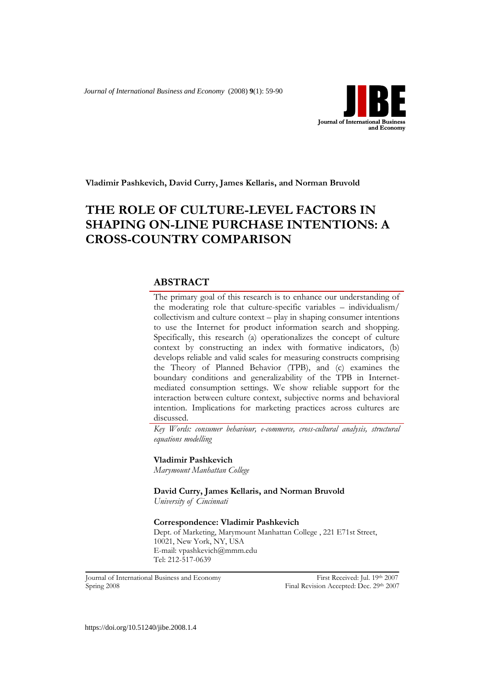*Journal of International Business and Economy* (2008) **9**(1): 59-90



**Vladimir Pashkevich, David Curry, James Kellaris, and Norman Bruvold**

# **THE ROLE OF CULTURE-LEVEL FACTORS IN SHAPING ON-LINE PURCHASE INTENTIONS: A CROSS-COUNTRY COMPARISON**

## **ABSTRACT**

The primary goal of this research is to enhance our understanding of the moderating role that culture-specific variables – individualism/ collectivism and culture context – play in shaping consumer intentions to use the Internet for product information search and shopping. Specifically, this research (a) operationalizes the concept of culture context by constructing an index with formative indicators, (b) develops reliable and valid scales for measuring constructs comprising the Theory of Planned Behavior (TPB), and (c) examines the boundary conditions and generalizability of the TPB in Internetmediated consumption settings. We show reliable support for the interaction between culture context, subjective norms and behavioral intention. Implications for marketing practices across cultures are discussed.

*Key Words: consumer behaviour, e-commerce, cross-cultural analysis, structural equations modelling*

**Vladimir Pashkevich**

*Marymount Manhattan College*

**David Curry, James Kellaris, and Norman Bruvold** *University of Cincinnati*

**Correspondence: Vladimir Pashkevich**

Dept. of Marketing, Marymount Manhattan College , 221 E71st Street, 10021, New York, NY, USA E-mail: vpashkevich@mmm.edu Tel: 212-517-0639

Journal of International Business and Economy First Received: Jul. 19th 2007 **Spring 2008 Final Revision Accepted: Dec. 29th 2007**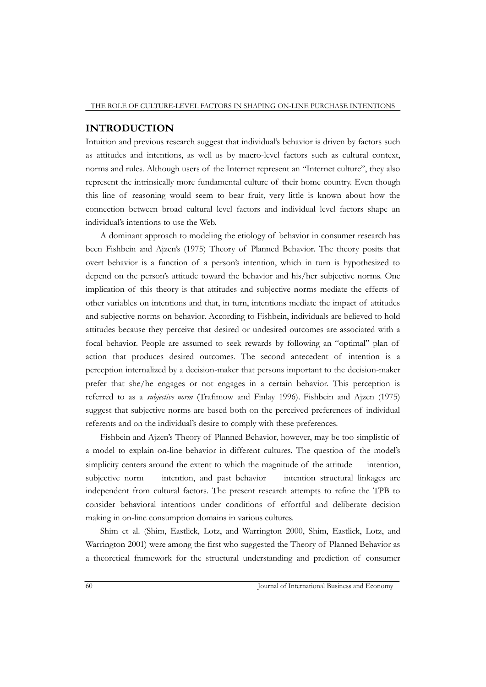#### **INTRODUCTION**

Intuition and previous research suggest that individual"s behavior is driven by factors such as attitudes and intentions, as well as by macro-level factors such as cultural context, norms and rules. Although users of the Internet represent an "Internet culture", they also represent the intrinsically more fundamental culture of their home country. Even though this line of reasoning would seem to bear fruit, very little is known about how the connection between broad cultural level factors and individual level factors shape an individual"s intentions to use the Web.

A dominant approach to modeling the etiology of behavior in consumer research has been Fishbein and Ajzen"s (1975) Theory of Planned Behavior. The theory posits that overt behavior is a function of a person"s intention, which in turn is hypothesized to depend on the person"s attitude toward the behavior and his/her subjective norms. One implication of this theory is that attitudes and subjective norms mediate the effects of other variables on intentions and that, in turn, intentions mediate the impact of attitudes and subjective norms on behavior. According to Fishbein, individuals are believed to hold attitudes because they perceive that desired or undesired outcomes are associated with a focal behavior. People are assumed to seek rewards by following an "optimal" plan of action that produces desired outcomes. The second antecedent of intention is a perception internalized by a decision-maker that persons important to the decision-maker prefer that she/he engages or not engages in a certain behavior. This perception is referred to as a *subjective norm* (Trafimow and Finlay 1996). Fishbein and Ajzen (1975) suggest that subjective norms are based both on the perceived preferences of individual referents and on the individual"s desire to comply with these preferences.

Fishbein and Ajzen"s Theory of Planned Behavior, however, may be too simplistic of a model to explain on-line behavior in different cultures. The question of the model"s simplicity centers around the extent to which the magnitude of the attitude  $\varsigma$  intention, subjective norm  $\varsigma$  intention, and past behavior  $\varsigma$  intention structural linkages are independent from cultural factors. The present research attempts to refine the TPB to consider behavioral intentions under conditions of effortful and deliberate decision making in on-line consumption domains in various cultures.

Shim et al. (Shim, Eastlick, Lotz, and Warrington 2000, Shim, Eastlick, Lotz, and Warrington 2001) were among the first who suggested the Theory of Planned Behavior as a theoretical framework for the structural understanding and prediction of consumer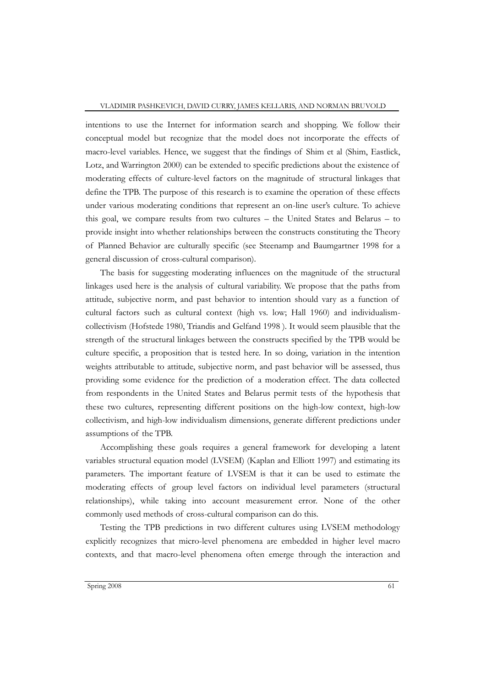intentions to use the Internet for information search and shopping. We follow their conceptual model but recognize that the model does not incorporate the effects of macro-level variables. Hence, we suggest that the findings of Shim et al (Shim, Eastlick, Lotz, and Warrington 2000) can be extended to specific predictions about the existence of moderating effects of culture-level factors on the magnitude of structural linkages that define the TPB. The purpose of this research is to examine the operation of these effects under various moderating conditions that represent an on-line user"s culture. To achieve this goal, we compare results from two cultures – the United States and Belarus – to provide insight into whether relationships between the constructs constituting the Theory of Planned Behavior are culturally specific (see Steenamp and Baumgartner 1998 for a general discussion of cross-cultural comparison).

The basis for suggesting moderating influences on the magnitude of the structural linkages used here is the analysis of cultural variability. We propose that the paths from attitude, subjective norm, and past behavior to intention should vary as a function of cultural factors such as cultural context (high vs. low; Hall 1960) and individualismcollectivism (Hofstede 1980, Triandis and Gelfand 1998 ). It would seem plausible that the strength of the structural linkages between the constructs specified by the TPB would be culture specific, a proposition that is tested here. In so doing, variation in the intention weights attributable to attitude, subjective norm, and past behavior will be assessed, thus providing some evidence for the prediction of a moderation effect. The data collected from respondents in the United States and Belarus permit tests of the hypothesis that these two cultures, representing different positions on the high-low context, high-low collectivism, and high-low individualism dimensions, generate different predictions under assumptions of the TPB.

Accomplishing these goals requires a general framework for developing a latent variables structural equation model (LVSEM) (Kaplan and Elliott 1997) and estimating its parameters. The important feature of LVSEM is that it can be used to estimate the moderating effects of group level factors on individual level parameters (structural relationships), while taking into account measurement error. None of the other commonly used methods of cross-cultural comparison can do this.

Testing the TPB predictions in two different cultures using LVSEM methodology explicitly recognizes that micro-level phenomena are embedded in higher level macro contexts, and that macro-level phenomena often emerge through the interaction and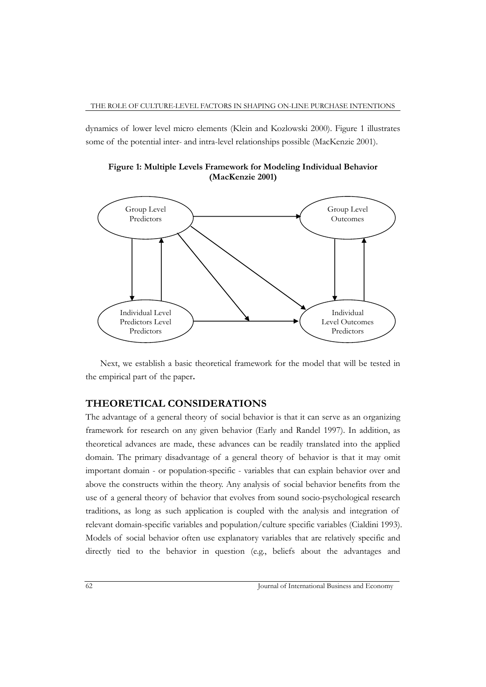dynamics of lower level micro elements (Klein and Kozlowski 2000). Figure 1 illustrates some of the potential inter- and intra-level relationships possible (MacKenzie 2001).





Next, we establish a basic theoretical framework for the model that will be tested in the empirical part of the paper**.** 

### **THEORETICAL CONSIDERATIONS**

The advantage of a general theory of social behavior is that it can serve as an organizing framework for research on any given behavior (Early and Randel 1997). In addition, as theoretical advances are made, these advances can be readily translated into the applied domain. The primary disadvantage of a general theory of behavior is that it may omit important domain - or population-specific - variables that can explain behavior over and above the constructs within the theory. Any analysis of social behavior benefits from the use of a general theory of behavior that evolves from sound socio-psychological research traditions, as long as such application is coupled with the analysis and integration of relevant domain-specific variables and population/culture specific variables (Cialdini 1993). Models of social behavior often use explanatory variables that are relatively specific and directly tied to the behavior in question (e.g., beliefs about the advantages and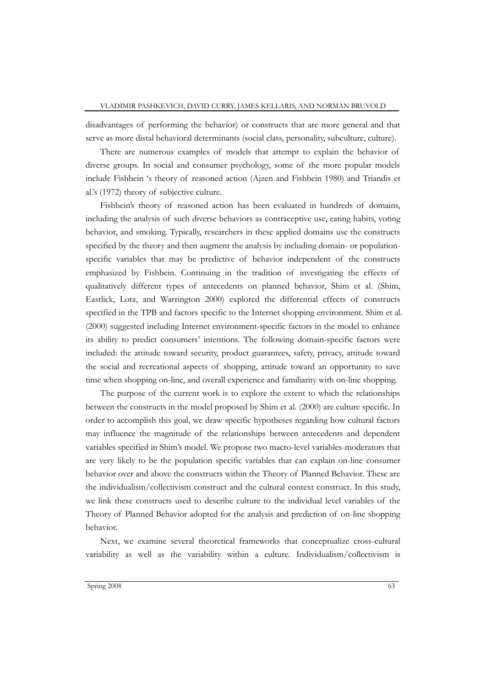disadvantages of performing the behavior) or constructs that are more general and that serve as more distal behavioral determinants (social class, personality, subculture, culture).

There are numerous examples of models that attempt to explain the behavior of diverse groups. In social and consumer psychology, some of the more popular models include Fishbein "s theory of reasoned action (Ajzen and Fishbein 1980) and Triandis et al.'s (1972) theory of subjective culture.

Fishbein"s theory of reasoned action has been evaluated in hundreds of domains, including the analysis of such diverse behaviors as contraceptive use, eating habits, voting behavior, and smoking. Typically, researchers in these applied domains use the constructs specified by the theory and then augment the analysis by including domain- or populationspecific variables that may be predictive of behavior independent of the constructs emphasized by Fishbein. Continuing in the tradition of investigating the effects of qualitatively different types of antecedents on planned behavior, Shim et al. (Shim, Eastlick, Lotz, and Warrington 2000) explored the differential effects of constructs specified in the TPB and factors specific to the Internet shopping environment. Shim et al. (2000) suggested including Internet environment-specific factors in the model to enhance its ability to predict consumers" intentions. The following domain-specific factors were included: the attitude toward security, product guarantees, safety, privacy, attitude toward the social and recreational aspects of shopping, attitude toward an opportunity to save time when shopping on-line, and overall experience and familiarity with on-line shopping.

The purpose of the current work is to explore the extent to which the relationships between the constructs in the model proposed by Shim et al. (2000) are culture specific. In order to accomplish this goal, we draw specific hypotheses regarding how cultural factors may influence the magnitude of the relationships between antecedents and dependent variables specified in Shim"s model. We propose two macro-level variables-moderators that are very likely to be the population specific variables that can explain on-line consumer behavior over and above the constructs within the Theory of Planned Behavior. These are the individualism/collectivism construct and the cultural context construct. In this study, we link these constructs used to describe culture to the individual level variables of the Theory of Planned Behavior adopted for the analysis and prediction of on-line shopping behavior.

Next, we examine several theoretical frameworks that conceptualize cross-cultural variability as well as the variability within a culture. Individualism/collectivism is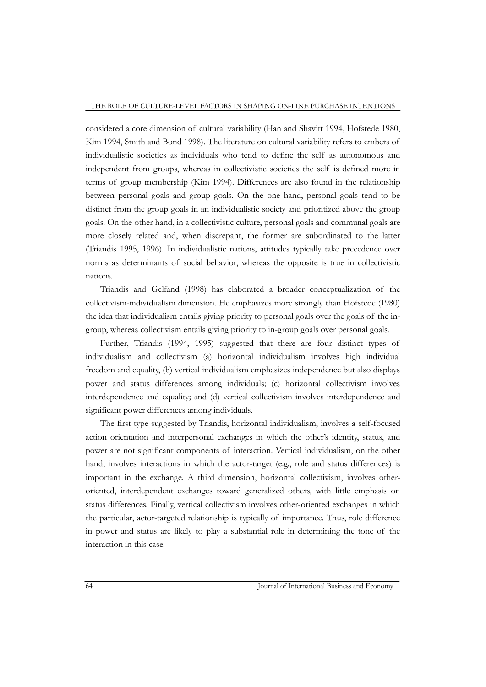considered a core dimension of cultural variability (Han and Shavitt 1994, Hofstede 1980, Kim 1994, Smith and Bond 1998). The literature on cultural variability refers to embers of individualistic societies as individuals who tend to define the self as autonomous and independent from groups, whereas in collectivistic societies the self is defined more in terms of group membership (Kim 1994). Differences are also found in the relationship between personal goals and group goals. On the one hand, personal goals tend to be distinct from the group goals in an individualistic society and prioritized above the group goals. On the other hand, in a collectivistic culture, personal goals and communal goals are more closely related and, when discrepant, the former are subordinated to the latter (Triandis 1995, 1996). In individualistic nations, attitudes typically take precedence over norms as determinants of social behavior, whereas the opposite is true in collectivistic nations.

Triandis and Gelfand (1998) has elaborated a broader conceptualization of the collectivism-individualism dimension. He emphasizes more strongly than Hofstede (1980) the idea that individualism entails giving priority to personal goals over the goals of the ingroup, whereas collectivism entails giving priority to in-group goals over personal goals.

Further, Triandis (1994, 1995) suggested that there are four distinct types of individualism and collectivism (a) horizontal individualism involves high individual freedom and equality, (b) vertical individualism emphasizes independence but also displays power and status differences among individuals; (c) horizontal collectivism involves interdependence and equality; and (d) vertical collectivism involves interdependence and significant power differences among individuals.

The first type suggested by Triandis, horizontal individualism, involves a self-focused action orientation and interpersonal exchanges in which the other"s identity, status, and power are not significant components of interaction. Vertical individualism, on the other hand, involves interactions in which the actor-target (e.g., role and status differences) is important in the exchange. A third dimension, horizontal collectivism, involves otheroriented, interdependent exchanges toward generalized others, with little emphasis on status differences. Finally, vertical collectivism involves other-oriented exchanges in which the particular, actor-targeted relationship is typically of importance. Thus, role difference in power and status are likely to play a substantial role in determining the tone of the interaction in this case.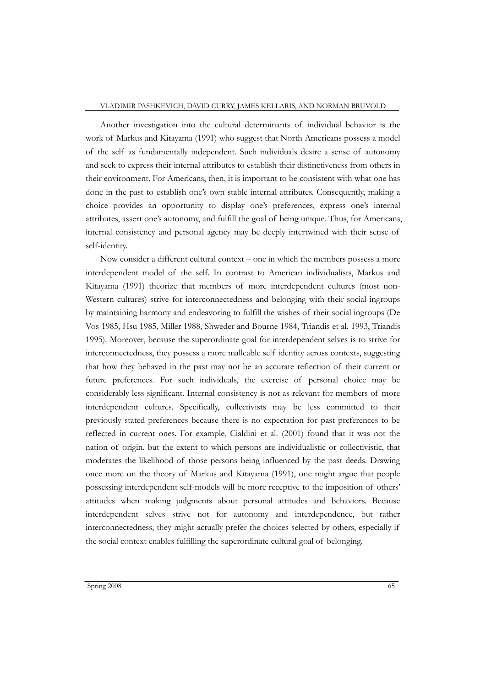Another investigation into the cultural determinants of individual behavior is the work of Markus and Kitayama (1991) who suggest that North Americans possess a model of the self as fundamentally independent. Such individuals desire a sense of autonomy and seek to express their internal attributes to establish their distinctiveness from others in their environment. For Americans, then, it is important to be consistent with what one has done in the past to establish one's own stable internal attributes. Consequently, making a choice provides an opportunity to display one's preferences, express one's internal attributes, assert one"s autonomy, and fulfill the goal of being unique. Thus, for Americans, internal consistency and personal agency may be deeply intertwined with their sense of self-identity.

Now consider a different cultural context – one in which the members possess a more interdependent model of the self. In contrast to American individualists, Markus and Kitayama (1991) theorize that members of more interdependent cultures (most non-Western cultures) strive for interconnectedness and belonging with their social ingroups by maintaining harmony and endeavoring to fulfill the wishes of their social ingroups (De Vos 1985, Hsu 1985, Miller 1988, Shweder and Bourne 1984, Triandis et al. 1993, Triandis 1995). Moreover, because the superordinate goal for interdependent selves is to strive for interconnectedness, they possess a more malleable self identity across contexts, suggesting that how they behaved in the past may not be an accurate reflection of their current or future preferences. For such individuals, the exercise of personal choice may be considerably less significant. Internal consistency is not as relevant for members of more interdependent cultures. Specifically, collectivists may be less committed to their previously stated preferences because there is no expectation for past preferences to be reflected in current ones. For example, Cialdini et al. (2001) found that it was not the nation of origin, but the extent to which persons are individualistic or collectivistic, that moderates the likelihood of those persons being influenced by the past deeds. Drawing once more on the theory of Markus and Kitayama (1991), one might argue that people possessing interdependent self-models will be more receptive to the imposition of others" attitudes when making judgments about personal attitudes and behaviors. Because interdependent selves strive not for autonomy and interdependence, but rather interconnectedness, they might actually prefer the choices selected by others, especially if the social context enables fulfilling the superordinate cultural goal of belonging.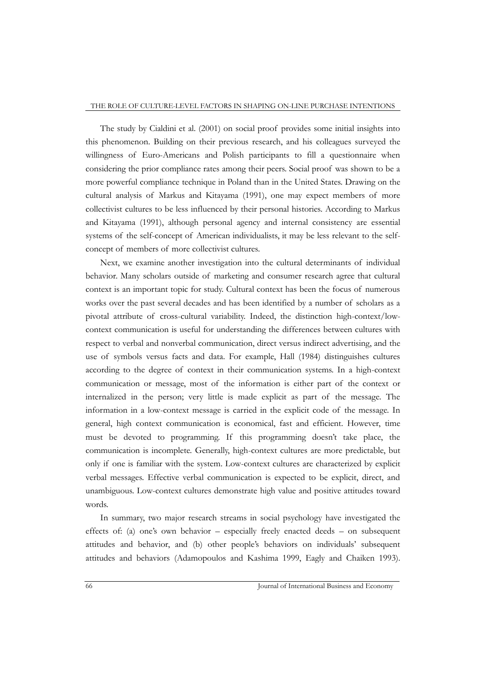#### THE ROLE OF CULTURE-LEVEL FACTORS IN SHAPING ON-LINE PURCHASE INTENTIONS

The study by Cialdini et al. (2001) on social proof provides some initial insights into this phenomenon. Building on their previous research, and his colleagues surveyed the willingness of Euro-Americans and Polish participants to fill a questionnaire when considering the prior compliance rates among their peers. Social proof was shown to be a more powerful compliance technique in Poland than in the United States. Drawing on the cultural analysis of Markus and Kitayama (1991), one may expect members of more collectivist cultures to be less influenced by their personal histories. According to Markus and Kitayama (1991), although personal agency and internal consistency are essential systems of the self-concept of American individualists, it may be less relevant to the selfconcept of members of more collectivist cultures.

Next, we examine another investigation into the cultural determinants of individual behavior. Many scholars outside of marketing and consumer research agree that cultural context is an important topic for study. Cultural context has been the focus of numerous works over the past several decades and has been identified by a number of scholars as a pivotal attribute of cross-cultural variability. Indeed, the distinction high-context/lowcontext communication is useful for understanding the differences between cultures with respect to verbal and nonverbal communication, direct versus indirect advertising, and the use of symbols versus facts and data. For example, Hall (1984) distinguishes cultures according to the degree of context in their communication systems. In a high-context communication or message, most of the information is either part of the context or internalized in the person; very little is made explicit as part of the message. The information in a low-context message is carried in the explicit code of the message. In general, high context communication is economical, fast and efficient. However, time must be devoted to programming. If this programming doesn"t take place, the communication is incomplete. Generally, high-context cultures are more predictable, but only if one is familiar with the system. Low-context cultures are characterized by explicit verbal messages. Effective verbal communication is expected to be explicit, direct, and unambiguous. Low-context cultures demonstrate high value and positive attitudes toward words.

In summary, two major research streams in social psychology have investigated the effects of: (a) one's own behavior – especially freely enacted deeds – on subsequent attitudes and behavior, and (b) other people"s behaviors on individuals" subsequent attitudes and behaviors (Adamopoulos and Kashima 1999, Eagly and Chaiken 1993).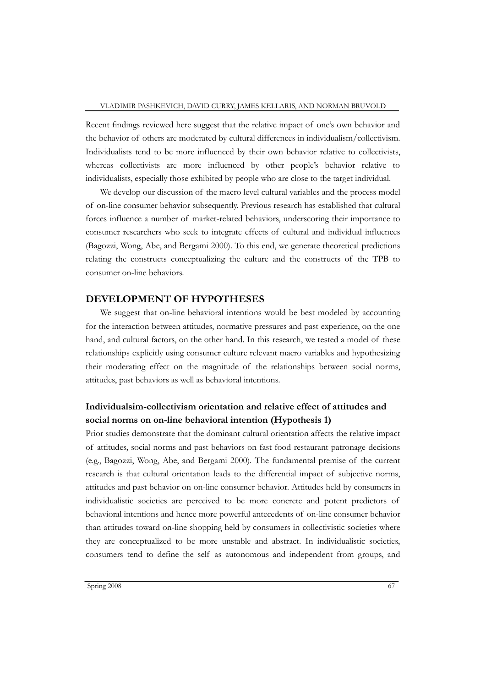Recent findings reviewed here suggest that the relative impact of one"s own behavior and the behavior of others are moderated by cultural differences in individualism/collectivism. Individualists tend to be more influenced by their own behavior relative to collectivists, whereas collectivists are more influenced by other people's behavior relative to individualists, especially those exhibited by people who are close to the target individual.

We develop our discussion of the macro level cultural variables and the process model of on-line consumer behavior subsequently. Previous research has established that cultural forces influence a number of market-related behaviors, underscoring their importance to consumer researchers who seek to integrate effects of cultural and individual influences (Bagozzi, Wong, Abe, and Bergami 2000). To this end, we generate theoretical predictions relating the constructs conceptualizing the culture and the constructs of the TPB to consumer on-line behaviors.

### **DEVELOPMENT OF HYPOTHESES**

We suggest that on-line behavioral intentions would be best modeled by accounting for the interaction between attitudes, normative pressures and past experience, on the one hand, and cultural factors, on the other hand. In this research, we tested a model of these relationships explicitly using consumer culture relevant macro variables and hypothesizing their moderating effect on the magnitude of the relationships between social norms, attitudes, past behaviors as well as behavioral intentions.

## **Individualsim-collectivism orientation and relative effect of attitudes and social norms on on-line behavioral intention (Hypothesis 1)**

Prior studies demonstrate that the dominant cultural orientation affects the relative impact of attitudes, social norms and past behaviors on fast food restaurant patronage decisions (e.g., Bagozzi, Wong, Abe, and Bergami 2000). The fundamental premise of the current research is that cultural orientation leads to the differential impact of subjective norms, attitudes and past behavior on on-line consumer behavior. Attitudes held by consumers in individualistic societies are perceived to be more concrete and potent predictors of behavioral intentions and hence more powerful antecedents of on-line consumer behavior than attitudes toward on-line shopping held by consumers in collectivistic societies where they are conceptualized to be more unstable and abstract. In individualistic societies, consumers tend to define the self as autonomous and independent from groups, and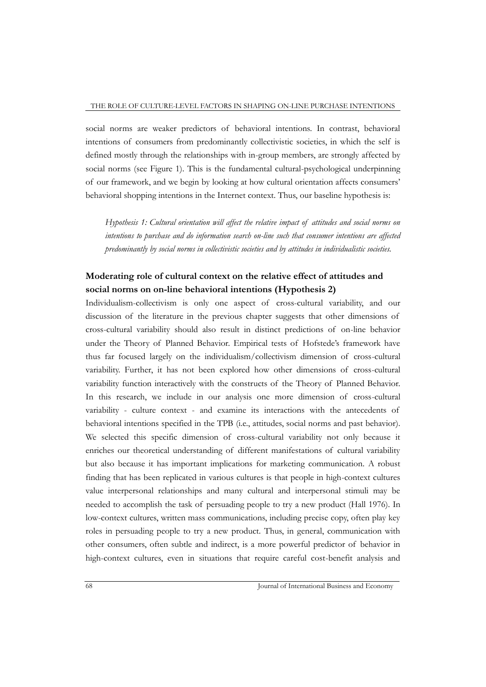social norms are weaker predictors of behavioral intentions. In contrast, behavioral intentions of consumers from predominantly collectivistic societies, in which the self is defined mostly through the relationships with in-group members, are strongly affected by social norms (see Figure 1). This is the fundamental cultural-psychological underpinning of our framework, and we begin by looking at how cultural orientation affects consumers" behavioral shopping intentions in the Internet context. Thus, our baseline hypothesis is:

*Hypothesis 1: Cultural orientation will affect the relative impact of attitudes and social norms on intentions to purchase and do information search on-line such that consumer intentions are affected predominantly by social norms in collectivistic societies and by attitudes in individualistic societies.* 

## **Moderating role of cultural context on the relative effect of attitudes and social norms on on-line behavioral intentions (Hypothesis 2)**

Individualism-collectivism is only one aspect of cross-cultural variability, and our discussion of the literature in the previous chapter suggests that other dimensions of cross-cultural variability should also result in distinct predictions of on-line behavior under the Theory of Planned Behavior. Empirical tests of Hofstede's framework have thus far focused largely on the individualism/collectivism dimension of cross-cultural variability. Further, it has not been explored how other dimensions of cross-cultural variability function interactively with the constructs of the Theory of Planned Behavior. In this research, we include in our analysis one more dimension of cross-cultural variability - culture context - and examine its interactions with the antecedents of behavioral intentions specified in the TPB (i.e., attitudes, social norms and past behavior). We selected this specific dimension of cross-cultural variability not only because it enriches our theoretical understanding of different manifestations of cultural variability but also because it has important implications for marketing communication. A robust finding that has been replicated in various cultures is that people in high-context cultures value interpersonal relationships and many cultural and interpersonal stimuli may be needed to accomplish the task of persuading people to try a new product (Hall 1976). In low-context cultures, written mass communications, including precise copy, often play key roles in persuading people to try a new product. Thus, in general, communication with other consumers, often subtle and indirect, is a more powerful predictor of behavior in high-context cultures, even in situations that require careful cost-benefit analysis and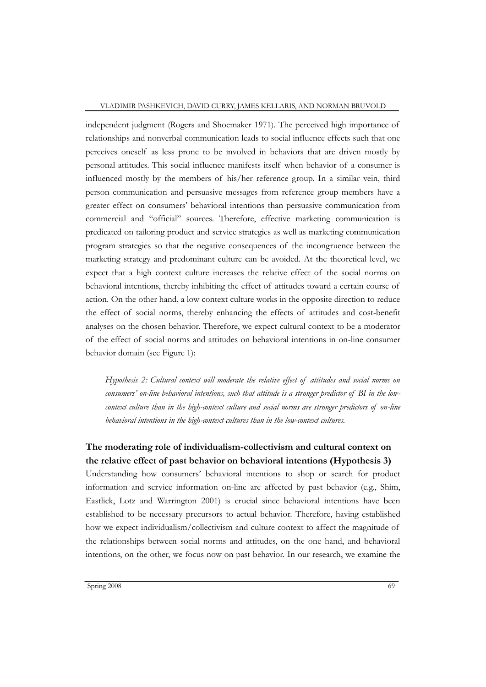independent judgment (Rogers and Shoemaker 1971). The perceived high importance of relationships and nonverbal communication leads to social influence effects such that one perceives oneself as less prone to be involved in behaviors that are driven mostly by personal attitudes. This social influence manifests itself when behavior of a consumer is influenced mostly by the members of his/her reference group. In a similar vein, third person communication and persuasive messages from reference group members have a greater effect on consumers" behavioral intentions than persuasive communication from commercial and "official" sources. Therefore, effective marketing communication is predicated on tailoring product and service strategies as well as marketing communication program strategies so that the negative consequences of the incongruence between the marketing strategy and predominant culture can be avoided. At the theoretical level, we expect that a high context culture increases the relative effect of the social norms on behavioral intentions, thereby inhibiting the effect of attitudes toward a certain course of action. On the other hand, a low context culture works in the opposite direction to reduce the effect of social norms, thereby enhancing the effects of attitudes and cost-benefit analyses on the chosen behavior. Therefore, we expect cultural context to be a moderator of the effect of social norms and attitudes on behavioral intentions in on-line consumer behavior domain (see Figure 1):

*Hypothesis 2: Cultural context will moderate the relative effect of attitudes and social norms on consumers' on-line behavioral intentions, such that attitude is a stronger predictor of BI in the lowcontext culture than in the high-context culture and social norms are stronger predictors of on-line behavioral intentions in the high-context cultures than in the low-context cultures.* 

## **The moderating role of individualism-collectivism and cultural context on the relative effect of past behavior on behavioral intentions (Hypothesis 3)**

Understanding how consumers" behavioral intentions to shop or search for product information and service information on-line are affected by past behavior (e.g., Shim, Eastlick, Lotz and Warrington 2001) is crucial since behavioral intentions have been established to be necessary precursors to actual behavior. Therefore, having established how we expect individualism/collectivism and culture context to affect the magnitude of the relationships between social norms and attitudes, on the one hand, and behavioral intentions, on the other, we focus now on past behavior. In our research, we examine the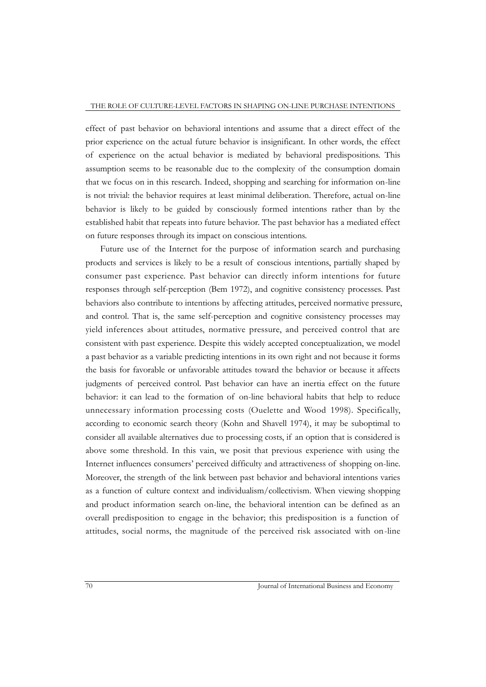effect of past behavior on behavioral intentions and assume that a direct effect of the prior experience on the actual future behavior is insignificant. In other words, the effect of experience on the actual behavior is mediated by behavioral predispositions. This assumption seems to be reasonable due to the complexity of the consumption domain that we focus on in this research. Indeed, shopping and searching for information on-line is not trivial: the behavior requires at least minimal deliberation. Therefore, actual on-line behavior is likely to be guided by consciously formed intentions rather than by the established habit that repeats into future behavior. The past behavior has a mediated effect on future responses through its impact on conscious intentions.

Future use of the Internet for the purpose of information search and purchasing products and services is likely to be a result of conscious intentions, partially shaped by consumer past experience. Past behavior can directly inform intentions for future responses through self-perception (Bem 1972), and cognitive consistency processes. Past behaviors also contribute to intentions by affecting attitudes, perceived normative pressure, and control. That is, the same self-perception and cognitive consistency processes may yield inferences about attitudes, normative pressure, and perceived control that are consistent with past experience. Despite this widely accepted conceptualization, we model a past behavior as a variable predicting intentions in its own right and not because it forms the basis for favorable or unfavorable attitudes toward the behavior or because it affects judgments of perceived control. Past behavior can have an inertia effect on the future behavior: it can lead to the formation of on-line behavioral habits that help to reduce unnecessary information processing costs (Ouelette and Wood 1998). Specifically, according to economic search theory (Kohn and Shavell 1974), it may be suboptimal to consider all available alternatives due to processing costs, if an option that is considered is above some threshold. In this vain, we posit that previous experience with using the Internet influences consumers" perceived difficulty and attractiveness of shopping on-line. Moreover, the strength of the link between past behavior and behavioral intentions varies as a function of culture context and individualism/collectivism. When viewing shopping and product information search on-line, the behavioral intention can be defined as an overall predisposition to engage in the behavior; this predisposition is a function of attitudes, social norms, the magnitude of the perceived risk associated with on-line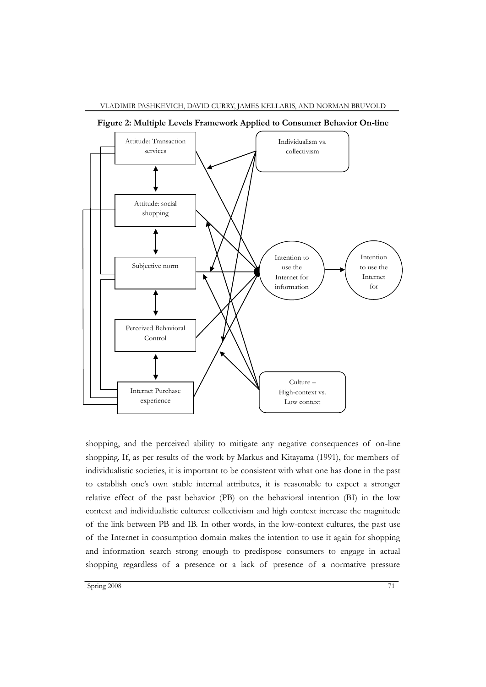

**Figure 2: Multiple Levels Framework Applied to Consumer Behavior On-line**

shopping, and the perceived ability to mitigate any negative consequences of on-line shopping. If, as per results of the work by Markus and Kitayama (1991), for members of individualistic societies, it is important to be consistent with what one has done in the past to establish one's own stable internal attributes, it is reasonable to expect a stronger relative effect of the past behavior (PB) on the behavioral intention (BI) in the low context and individualistic cultures: collectivism and high context increase the magnitude of the link between PB and IB. In other words, in the low-context cultures, the past use of the Internet in consumption domain makes the intention to use it again for shopping and information search strong enough to predispose consumers to engage in actual shopping regardless of a presence or a lack of presence of a normative pressure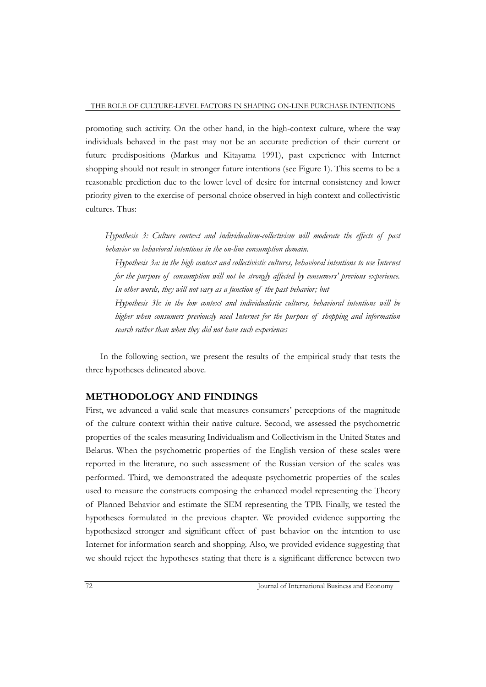promoting such activity. On the other hand, in the high-context culture, where the way individuals behaved in the past may not be an accurate prediction of their current or future predispositions (Markus and Kitayama 1991), past experience with Internet shopping should not result in stronger future intentions (see Figure 1). This seems to be a reasonable prediction due to the lower level of desire for internal consistency and lower priority given to the exercise of personal choice observed in high context and collectivistic cultures. Thus:

*Hypothesis 3: Culture context and individualism-collectivism will moderate the effects of past behavior on behavioral intentions in the on-line consumption domain.*

*Hypothesis 3a: in the high context and collectivistic cultures, behavioral intentions to use Internet for the purpose of consumption will not be strongly affected by consumers' previous experience. In other words, they will not vary as a function of the past behavior; but*

*Hypothesis 3b: in the low context and individualistic cultures, behavioral intentions will be higher when consumers previously used Internet for the purpose of shopping and information search rather than when they did not have such experiences*

In the following section, we present the results of the empirical study that tests the three hypotheses delineated above.

## **METHODOLOGY AND FINDINGS**

First, we advanced a valid scale that measures consumers" perceptions of the magnitude of the culture context within their native culture. Second, we assessed the psychometric properties of the scales measuring Individualism and Collectivism in the United States and Belarus. When the psychometric properties of the English version of these scales were reported in the literature, no such assessment of the Russian version of the scales was performed. Third, we demonstrated the adequate psychometric properties of the scales used to measure the constructs composing the enhanced model representing the Theory of Planned Behavior and estimate the SEM representing the TPB. Finally, we tested the hypotheses formulated in the previous chapter. We provided evidence supporting the hypothesized stronger and significant effect of past behavior on the intention to use Internet for information search and shopping. Also, we provided evidence suggesting that we should reject the hypotheses stating that there is a significant difference between two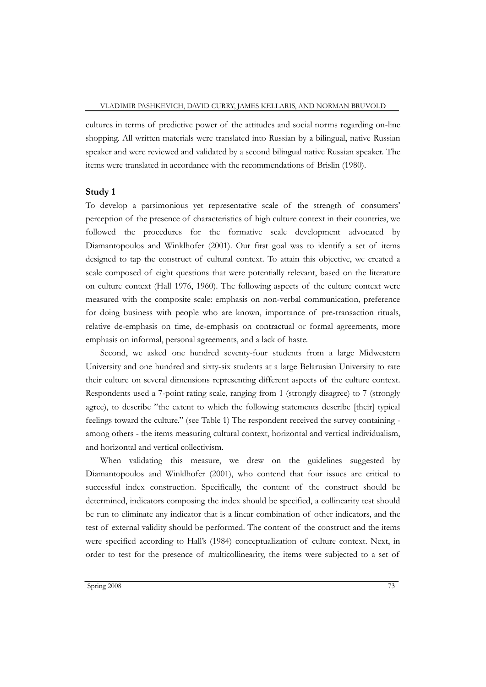cultures in terms of predictive power of the attitudes and social norms regarding on-line shopping. All written materials were translated into Russian by a bilingual, native Russian speaker and were reviewed and validated by a second bilingual native Russian speaker. The items were translated in accordance with the recommendations of Brislin (1980).

#### **Study 1**

To develop a parsimonious yet representative scale of the strength of consumers" perception of the presence of characteristics of high culture context in their countries, we followed the procedures for the formative scale development advocated by Diamantopoulos and Winklhofer (2001). Our first goal was to identify a set of items designed to tap the construct of cultural context. To attain this objective, we created a scale composed of eight questions that were potentially relevant, based on the literature on culture context (Hall 1976, 1960). The following aspects of the culture context were measured with the composite scale: emphasis on non-verbal communication, preference for doing business with people who are known, importance of pre-transaction rituals, relative de-emphasis on time, de-emphasis on contractual or formal agreements, more emphasis on informal, personal agreements, and a lack of haste.

Second, we asked one hundred seventy-four students from a large Midwestern University and one hundred and sixty-six students at a large Belarusian University to rate their culture on several dimensions representing different aspects of the culture context. Respondents used a 7-point rating scale, ranging from 1 (strongly disagree) to 7 (strongly agree), to describe "the extent to which the following statements describe [their] typical feelings toward the culture." (see Table 1) The respondent received the survey containing among others - the items measuring cultural context, horizontal and vertical individualism, and horizontal and vertical collectivism.

When validating this measure, we drew on the guidelines suggested by Diamantopoulos and Winklhofer (2001), who contend that four issues are critical to successful index construction. Specifically, the content of the construct should be determined, indicators composing the index should be specified, a collinearity test should be run to eliminate any indicator that is a linear combination of other indicators, and the test of external validity should be performed. The content of the construct and the items were specified according to Hall"s (1984) conceptualization of culture context. Next, in order to test for the presence of multicollinearity, the items were subjected to a set of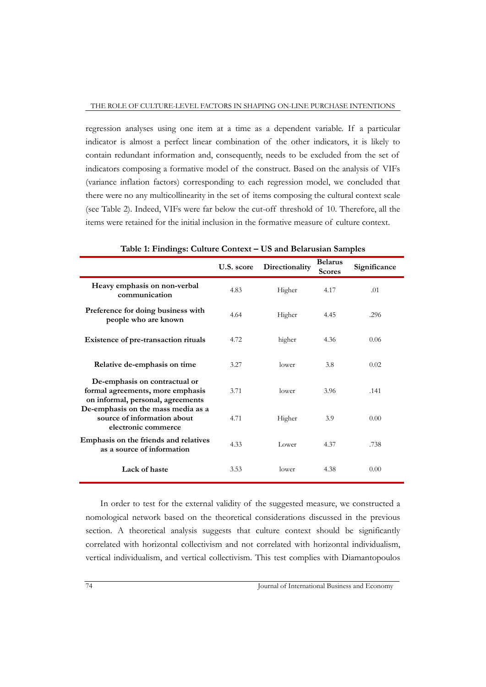regression analyses using one item at a time as a dependent variable. If a particular indicator is almost a perfect linear combination of the other indicators, it is likely to contain redundant information and, consequently, needs to be excluded from the set of indicators composing a formative model of the construct. Based on the analysis of VIFs (variance inflation factors) corresponding to each regression model, we concluded that there were no any multicollinearity in the set of items composing the cultural context scale (see Table 2). Indeed, VIFs were far below the cut-off threshold of 10. Therefore, all the items were retained for the initial inclusion in the formative measure of culture context.

|                                                                                                        | U.S. score | Directionality | <b>Belarus</b><br><b>Scores</b> | Significance |
|--------------------------------------------------------------------------------------------------------|------------|----------------|---------------------------------|--------------|
| Heavy emphasis on non-verbal<br>communication                                                          | 4.83       | Higher         | 4.17                            | .01          |
| Preference for doing business with<br>people who are known                                             | 4.64       | Higher         | 4.45                            | .296         |
| Existence of pre-transaction rituals                                                                   | 4.72       | higher         | 4.36                            | 0.06         |
| Relative de-emphasis on time                                                                           | 3.27       | lower          | 3.8                             | 0.02         |
| De-emphasis on contractual or<br>formal agreements, more emphasis<br>on informal, personal, agreements | 3.71       | lower          | 3.96                            | .141         |
| De-emphasis on the mass media as a<br>source of information about<br>electronic commerce               | 4.71       | Higher         | 3.9                             | 0.00         |
| Emphasis on the friends and relatives<br>as a source of information                                    | 4.33       | Lower          | 4.37                            | .738         |
| Lack of haste                                                                                          | 3.53       | lower          | 4.38                            | 0.00         |

**Table 1: Findings: Culture Context – US and Belarusian Samples**

In order to test for the external validity of the suggested measure, we constructed a nomological network based on the theoretical considerations discussed in the previous section. A theoretical analysis suggests that culture context should be significantly correlated with horizontal collectivism and not correlated with horizontal individualism, vertical individualism, and vertical collectivism. This test complies with Diamantopoulos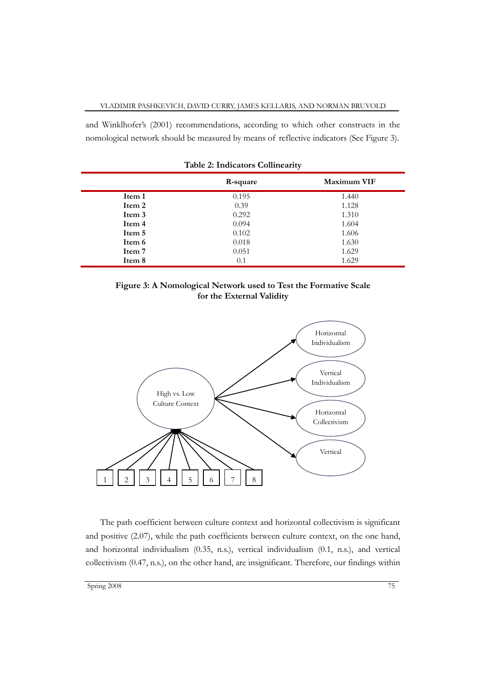and Winklhofer"s (2001) recommendations, according to which other constructs in the nomological network should be measured by means of reflective indicators (See Figure 3).

|        | R-square | Maximum VIF |
|--------|----------|-------------|
| Item 1 | 0.195    | 1.440       |
| Item 2 | 0.39     | 1.128       |
| Item 3 | 0.292    | 1.310       |
| Item 4 | 0.094    | 1.604       |
| Item 5 | 0.102    | 1.606       |
| Item 6 | 0.018    | 1.630       |
| Item 7 | 0.051    | 1.629       |
| Item 8 | 0.1      | 1.629       |

|  |  | Table 2: Indicators Collinearity |
|--|--|----------------------------------|
|--|--|----------------------------------|





The path coefficient between culture context and horizontal collectivism is significant and positive (2.07), while the path coefficients between culture context, on the one hand, and horizontal individualism (0.35, n.s.), vertical individualism (0.1, n.s.), and vertical collectivism (0.47, n.s.), on the other hand, are insignificant. Therefore, our findings within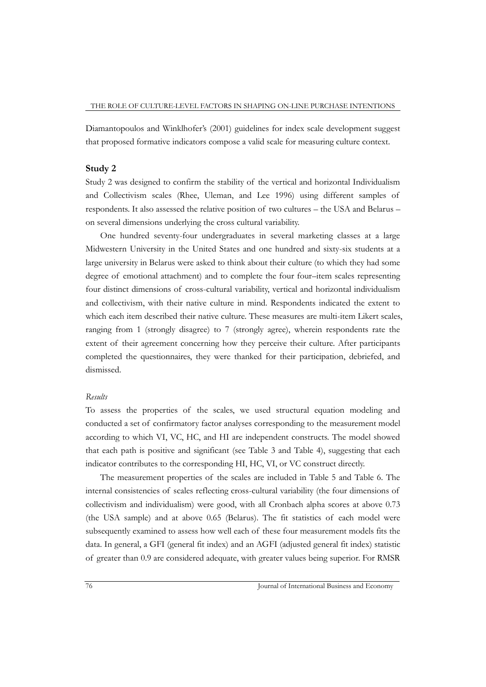Diamantopoulos and Winklhofer"s (2001) guidelines for index scale development suggest that proposed formative indicators compose a valid scale for measuring culture context.

#### **Study 2**

Study 2 was designed to confirm the stability of the vertical and horizontal Individualism and Collectivism scales (Rhee, Uleman, and Lee 1996) using different samples of respondents. It also assessed the relative position of two cultures – the USA and Belarus – on several dimensions underlying the cross cultural variability.

One hundred seventy-four undergraduates in several marketing classes at a large Midwestern University in the United States and one hundred and sixty-six students at a large university in Belarus were asked to think about their culture (to which they had some degree of emotional attachment) and to complete the four four–item scales representing four distinct dimensions of cross-cultural variability, vertical and horizontal individualism and collectivism, with their native culture in mind. Respondents indicated the extent to which each item described their native culture. These measures are multi-item Likert scales, ranging from 1 (strongly disagree) to 7 (strongly agree), wherein respondents rate the extent of their agreement concerning how they perceive their culture. After participants completed the questionnaires, they were thanked for their participation, debriefed, and dismissed.

#### *Results*

To assess the properties of the scales, we used structural equation modeling and conducted a set of confirmatory factor analyses corresponding to the measurement model according to which VI, VC, HC, and HI are independent constructs. The model showed that each path is positive and significant (see Table 3 and Table 4), suggesting that each indicator contributes to the corresponding HI, HC, VI, or VC construct directly.

The measurement properties of the scales are included in Table 5 and Table 6. The internal consistencies of scales reflecting cross-cultural variability (the four dimensions of collectivism and individualism) were good, with all Cronbach alpha scores at above 0.73 (the USA sample) and at above 0.65 (Belarus). The fit statistics of each model were subsequently examined to assess how well each of these four measurement models fits the data. In general, a GFI (general fit index) and an AGFI (adjusted general fit index) statistic of greater than 0.9 are considered adequate, with greater values being superior. For RMSR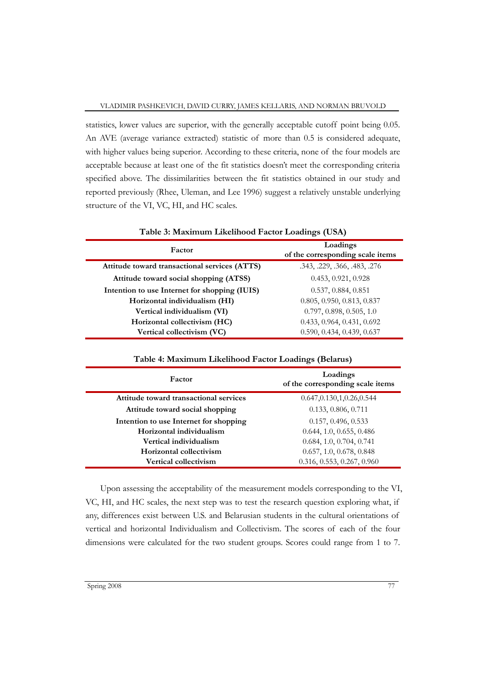statistics, lower values are superior, with the generally acceptable cutoff point being 0.05. An AVE (average variance extracted) statistic of more than 0.5 is considered adequate, with higher values being superior. According to these criteria, none of the four models are acceptable because at least one of the fit statistics doesn't meet the corresponding criteria specified above. The dissimilarities between the fit statistics obtained in our study and reported previously (Rhee, Uleman, and Lee 1996) suggest a relatively unstable underlying structure of the VI, VC, HI, and HC scales.

|                                               | Table 3: Maximum Likelihood Factor Loadings (USA) |  |  |
|-----------------------------------------------|---------------------------------------------------|--|--|
| Factor                                        | Loadings<br>of the corresponding scale items      |  |  |
| Attitude toward transactional services (ATTS) | .343, .229, .366, .483, .276                      |  |  |
| Attitude toward social shopping (ATSS)        | 0.453, 0.921, 0.928                               |  |  |
| Intention to use Internet for shopping (IUIS) | 0.537, 0.884, 0.851                               |  |  |
| Horizontal individualism (HI)                 | 0.805, 0.950, 0.813, 0.837                        |  |  |
| Vertical individualism (VI)                   | 0.797, 0.898, 0.505, 1.0                          |  |  |
| Horizontal collectivism (HC)                  | 0.433, 0.964, 0.431, 0.692                        |  |  |
| Vertical collectivism (VC)                    | 0.590, 0.434, 0.439, 0.637                        |  |  |

**Table 4: Maximum Likelihood Factor Loadings (Belarus)**

| Factor                                 | Loadings<br>of the corresponding scale items |
|----------------------------------------|----------------------------------------------|
| Attitude toward transactional services | 0.647, 0.130, 1, 0.26, 0.544                 |
| Attitude toward social shopping        | 0.133, 0.806, 0.711                          |
| Intention to use Internet for shopping | 0.157, 0.496, 0.533                          |
| Horizontal individualism               | 0.644, 1.0, 0.655, 0.486                     |
| Vertical individualism                 | 0.684, 1.0, 0.704, 0.741                     |
| Horizontal collectivism                | 0.657, 1.0, 0.678, 0.848                     |
| Vertical collectivism                  | 0.316, 0.553, 0.267, 0.960                   |

Upon assessing the acceptability of the measurement models corresponding to the VI, VC, HI, and HC scales, the next step was to test the research question exploring what, if any, differences exist between U.S. and Belarusian students in the cultural orientations of vertical and horizontal Individualism and Collectivism. The scores of each of the four dimensions were calculated for the two student groups. Scores could range from 1 to 7.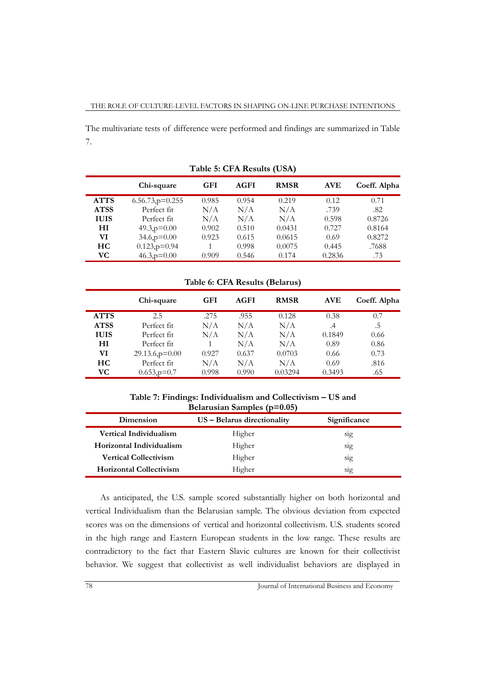The multivariate tests of difference were performed and findings are summarized in Table 7.

|             | Chi-square            | <b>GFI</b> | AGFI  | <b>RMSR</b> | <b>AVE</b> | Coeff. Alpha |
|-------------|-----------------------|------------|-------|-------------|------------|--------------|
| <b>ATTS</b> | $6.56.73$ , $p=0.255$ | 0.985      | 0.954 | 0.219       | 0.12       | 0.71         |
| <b>ATSS</b> | Perfect fit           | N/A        | N/A   | N/A         | .739       | .82          |
| <b>IUIS</b> | Perfect fit           | N/A        | N/A   | N/A         | 0.598      | 0.8726       |
| НI          | $49.3$ , $p=0.00$     | 0.902      | 0.510 | 0.0431      | 0.727      | 0.8164       |
| VI          | $34.6$ , $p=0.00$     | 0.923      | 0.615 | 0.0615      | 0.69       | 0.8272       |
| HС          | $0.123$ , $p=0.94$    |            | 0.998 | 0.0075      | 0.445      | .7688        |
| VС          | $46.3$ , $p=0.00$     | 0.909      | 0.546 | 0.174       | 0.2836     | .73          |

**Table 5: CFA Results (USA)**

**Table 6: CFA Results (Belarus)**

|             | Chi-square           | <b>GFI</b> | <b>AGFI</b> | <b>RMSR</b> | <b>AVE</b> | Coeff. Alpha |
|-------------|----------------------|------------|-------------|-------------|------------|--------------|
| <b>ATTS</b> | 2.5                  | .275       | .955        | 0.128       | 0.38       | 0.7          |
| <b>ATSS</b> | Perfect fit          | N/A        | N/A         | N/A         | .4         | .5           |
| <b>IUIS</b> | Perfect fit          | N/A        | N/A         | N/A         | 0.1849     | 0.66         |
| HІ          | Perfect fit          |            | N/A         | N/A         | 0.89       | 0.86         |
| VI          | $29.13.6$ , $p=0.00$ | 0.927      | 0.637       | 0.0703      | 0.66       | 0.73         |
| HC.         | Perfect fit          | N/A        | N/A         | N/A         | 0.69       | .816         |
| VС          | $0.653$ , $p=0.7$    | 0.998      | 0.990       | 0.03294     | 0.3493     | .65          |

**Table 7: Findings: Individualism and Collectivism – US and Belarusian Samples (p=0.05)**

| Dimension                      | US - Belarus directionality | Significance     |
|--------------------------------|-----------------------------|------------------|
| Vertical Individualism         | Higher                      | S <sub>1</sub> g |
| Horizontal Individualism       | <b>Higher</b>               | S <sub>1</sub> g |
| <b>Vertical Collectivism</b>   | Higher                      | S <sub>1</sub> g |
| <b>Horizontal Collectivism</b> | Higher                      | S <sub>1</sub> g |

As anticipated, the U.S. sample scored substantially higher on both horizontal and vertical Individualism than the Belarusian sample. The obvious deviation from expected scores was on the dimensions of vertical and horizontal collectivism. U.S. students scored in the high range and Eastern European students in the low range. These results are contradictory to the fact that Eastern Slavic cultures are known for their collectivist behavior. We suggest that collectivist as well individualist behaviors are displayed in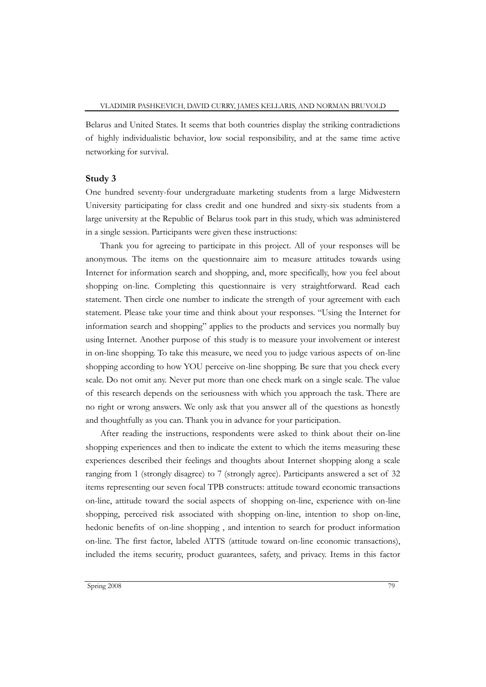Belarus and United States. It seems that both countries display the striking contradictions of highly individualistic behavior, low social responsibility, and at the same time active networking for survival.

#### **Study 3**

One hundred seventy-four undergraduate marketing students from a large Midwestern University participating for class credit and one hundred and sixty-six students from a large university at the Republic of Belarus took part in this study, which was administered in a single session. Participants were given these instructions:

Thank you for agreeing to participate in this project. All of your responses will be anonymous. The items on the questionnaire aim to measure attitudes towards using Internet for information search and shopping, and, more specifically, how you feel about shopping on-line. Completing this questionnaire is very straightforward. Read each statement. Then circle one number to indicate the strength of your agreement with each statement. Please take your time and think about your responses. "Using the Internet for information search and shopping" applies to the products and services you normally buy using Internet. Another purpose of this study is to measure your involvement or interest in on-line shopping. To take this measure, we need you to judge various aspects of on-line shopping according to how YOU perceive on-line shopping. Be sure that you check every scale. Do not omit any. Never put more than one check mark on a single scale. The value of this research depends on the seriousness with which you approach the task. There are no right or wrong answers. We only ask that you answer all of the questions as honestly and thoughtfully as you can. Thank you in advance for your participation.

After reading the instructions, respondents were asked to think about their on-line shopping experiences and then to indicate the extent to which the items measuring these experiences described their feelings and thoughts about Internet shopping along a scale ranging from 1 (strongly disagree) to 7 (strongly agree). Participants answered a set of 32 items representing our seven focal TPB constructs: attitude toward economic transactions on-line, attitude toward the social aspects of shopping on-line, experience with on-line shopping, perceived risk associated with shopping on-line, intention to shop on-line, hedonic benefits of on-line shopping , and intention to search for product information on-line. The first factor, labeled ATTS (attitude toward on-line economic transactions), included the items security, product guarantees, safety, and privacy. Items in this factor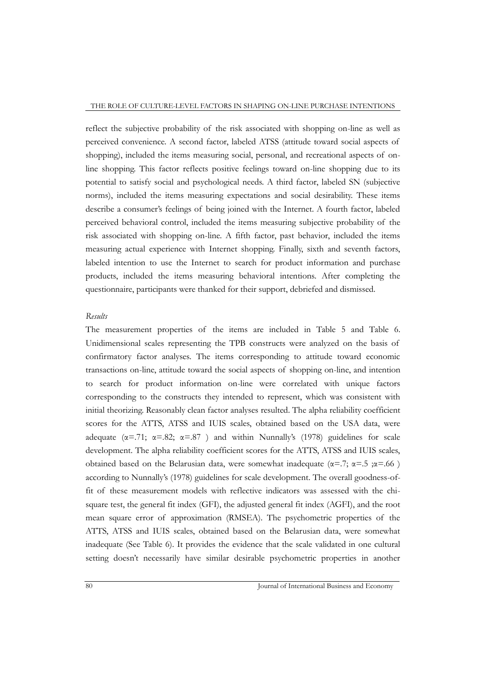reflect the subjective probability of the risk associated with shopping on-line as well as perceived convenience. A second factor, labeled ATSS (attitude toward social aspects of shopping), included the items measuring social, personal, and recreational aspects of online shopping. This factor reflects positive feelings toward on-line shopping due to its potential to satisfy social and psychological needs. A third factor, labeled SN (subjective norms), included the items measuring expectations and social desirability. These items describe a consumer's feelings of being joined with the Internet. A fourth factor, labeled perceived behavioral control, included the items measuring subjective probability of the risk associated with shopping on-line. A fifth factor, past behavior, included the items measuring actual experience with Internet shopping. Finally, sixth and seventh factors, labeled intention to use the Internet to search for product information and purchase products, included the items measuring behavioral intentions. After completing the questionnaire, participants were thanked for their support, debriefed and dismissed.

#### *Results*

The measurement properties of the items are included in Table 5 and Table 6. Unidimensional scales representing the TPB constructs were analyzed on the basis of confirmatory factor analyses. The items corresponding to attitude toward economic transactions on-line, attitude toward the social aspects of shopping on-line, and intention to search for product information on-line were correlated with unique factors corresponding to the constructs they intended to represent, which was consistent with initial theorizing. Reasonably clean factor analyses resulted. The alpha reliability coefficient scores for the ATTS, ATSS and IUIS scales, obtained based on the USA data, were adequate ( $\alpha$ =.71;  $\alpha$ =.82;  $\alpha$ =.87) and within Nunnally's (1978) guidelines for scale development. The alpha reliability coefficient scores for the ATTS, ATSS and IUIS scales, obtained based on the Belarusian data, were somewhat inadequate ( $\alpha = .7$ ;  $\alpha = .5$ ;  $\alpha = .66$ ) according to Nunnally"s (1978) guidelines for scale development. The overall goodness-offit of these measurement models with reflective indicators was assessed with the chisquare test, the general fit index (GFI), the adjusted general fit index (AGFI), and the root mean square error of approximation (RMSEA). The psychometric properties of the ATTS, ATSS and IUIS scales, obtained based on the Belarusian data, were somewhat inadequate (See Table 6). It provides the evidence that the scale validated in one cultural setting doesn"t necessarily have similar desirable psychometric properties in another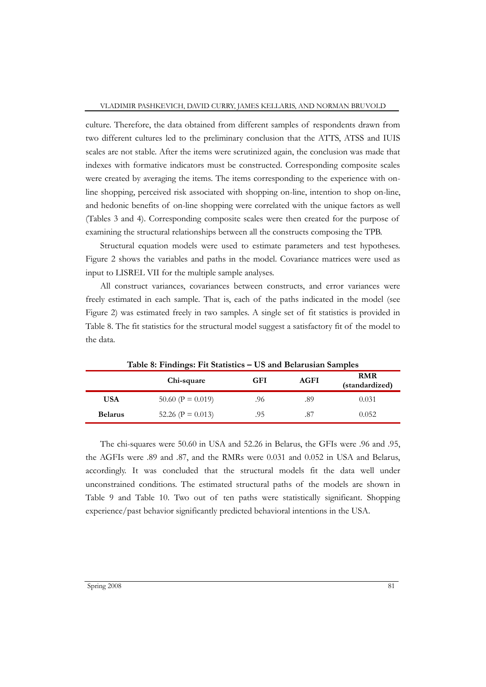culture. Therefore, the data obtained from different samples of respondents drawn from two different cultures led to the preliminary conclusion that the ATTS, ATSS and IUIS scales are not stable. After the items were scrutinized again, the conclusion was made that indexes with formative indicators must be constructed. Corresponding composite scales were created by averaging the items. The items corresponding to the experience with online shopping, perceived risk associated with shopping on-line, intention to shop on-line, and hedonic benefits of on-line shopping were correlated with the unique factors as well (Tables 3 and 4). Corresponding composite scales were then created for the purpose of examining the structural relationships between all the constructs composing the TPB.

Structural equation models were used to estimate parameters and test hypotheses. Figure 2 shows the variables and paths in the model. Covariance matrices were used as input to LISREL VII for the multiple sample analyses.

All construct variances, covariances between constructs, and error variances were freely estimated in each sample. That is, each of the paths indicated in the model (see Figure 2) was estimated freely in two samples. A single set of fit statistics is provided in Table 8. The fit statistics for the structural model suggest a satisfactory fit of the model to the data.

|                | Table 8: Findings: Fit Statistics $-$ US and Belarusian Samples<br>Chi-square | GFI | AGFI | <b>RMR</b><br>(standardized) |
|----------------|-------------------------------------------------------------------------------|-----|------|------------------------------|
| USA            | $50.60$ (P = 0.019)                                                           | .96 | .89  | 0.031                        |
| <b>Belarus</b> | 52.26 ( $P = 0.013$ )                                                         | .95 | .87  | 0.052                        |

**Table 8: Findings: Fit Statistics – US and Belarusian Samples**

The chi-squares were 50.60 in USA and 52.26 in Belarus, the GFIs were .96 and .95, the AGFIs were .89 and .87, and the RMRs were 0.031 and 0.052 in USA and Belarus, accordingly. It was concluded that the structural models fit the data well under unconstrained conditions. The estimated structural paths of the models are shown in Table 9 and Table 10. Two out of ten paths were statistically significant. Shopping experience/past behavior significantly predicted behavioral intentions in the USA.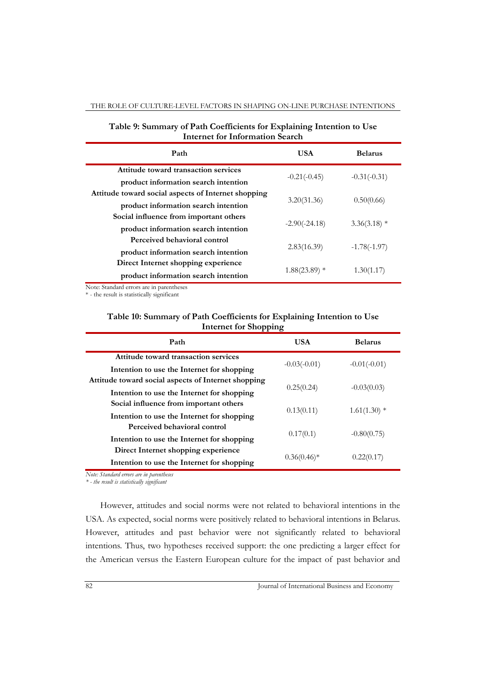#### THE ROLE OF CULTURE-LEVEL FACTORS IN SHAPING ON-LINE PURCHASE INTENTIONS

| <b>Internet for Information Search</b>               |                 |                |  |
|------------------------------------------------------|-----------------|----------------|--|
| Path                                                 | <b>USA</b>      | <b>Belarus</b> |  |
| Attitude toward transaction services                 |                 |                |  |
| product information search intention                 | $-0.21(-0.45)$  | $-0.31(-0.31)$ |  |
| Attitude toward social aspects of Internet shopping  |                 |                |  |
| ш<br>product information search intention            | 3.20(31.36)     | 0.50(0.66)     |  |
| Social influence from important others               |                 |                |  |
| ш<br>product information search intention            | $-2.90(-24.18)$ | $3.36(3.18)$ * |  |
| Perceived behavioral control                         |                 |                |  |
| ш<br>product information search intention            | 2.83(16.39)     | $-1.78(-1.97)$ |  |
| Direct Internet shopping experience                  |                 |                |  |
| $\mathbf{H}$<br>product information search intention | $1.88(23.89)$ * | 1.30(1.17)     |  |

### **Table 9: Summary of Path Coefficients for Explaining Intention to Use Internet for Information Search**

Note: Standard errors are in parentheses

\* - the result is statistically significant

### **Table 10: Summary of Path Coefficients for Explaining Intention to Use Internet for Shopping**

| $\frac{1}{2}$                                       |                |                |
|-----------------------------------------------------|----------------|----------------|
| Path                                                | <b>USA</b>     | <b>Belarus</b> |
| Attitude toward transaction services                | $-0.03(-0.01)$ | $-0.01(-0.01)$ |
| Intention to use the Internet for shopping          |                |                |
| Attitude toward social aspects of Internet shopping | 0.25(0.24)     | $-0.03(0.03)$  |
| Intention to use the Internet for shopping          |                |                |
| Social influence from important others              | 0.13(0.11)     | $1.61(1.30)$ * |
| ш<br>Intention to use the Internet for shopping     |                |                |
| Perceived behavioral control                        | 0.17(0.1)      | $-0.80(0.75)$  |
| ш<br>Intention to use the Internet for shopping     |                |                |
| Direct Internet shopping experience                 | $0.36(0.46)$ * | 0.22(0.17)     |
| ш<br>Intention to use the Internet for shopping     |                |                |

*Note: Standard errors are in parentheses*

*\* - the result is statistically significant*

However, attitudes and social norms were not related to behavioral intentions in the USA. As expected, social norms were positively related to behavioral intentions in Belarus. However, attitudes and past behavior were not significantly related to behavioral intentions. Thus, two hypotheses received support: the one predicting a larger effect for the American versus the Eastern European culture for the impact of past behavior and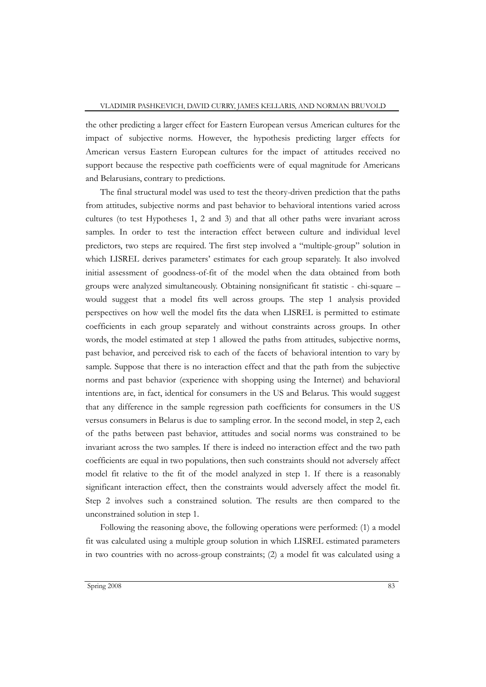the other predicting a larger effect for Eastern European versus American cultures for the impact of subjective norms. However, the hypothesis predicting larger effects for American versus Eastern European cultures for the impact of attitudes received no support because the respective path coefficients were of equal magnitude for Americans and Belarusians, contrary to predictions.

The final structural model was used to test the theory-driven prediction that the paths from attitudes, subjective norms and past behavior to behavioral intentions varied across cultures (to test Hypotheses 1, 2 and 3) and that all other paths were invariant across samples. In order to test the interaction effect between culture and individual level predictors, two steps are required. The first step involved a "multiple-group" solution in which LISREL derives parameters" estimates for each group separately. It also involved initial assessment of goodness-of-fit of the model when the data obtained from both groups were analyzed simultaneously. Obtaining nonsignificant fit statistic - chi-square – would suggest that a model fits well across groups. The step 1 analysis provided perspectives on how well the model fits the data when LISREL is permitted to estimate coefficients in each group separately and without constraints across groups. In other words, the model estimated at step 1 allowed the paths from attitudes, subjective norms, past behavior, and perceived risk to each of the facets of behavioral intention to vary by sample. Suppose that there is no interaction effect and that the path from the subjective norms and past behavior (experience with shopping using the Internet) and behavioral intentions are, in fact, identical for consumers in the US and Belarus. This would suggest that any difference in the sample regression path coefficients for consumers in the US versus consumers in Belarus is due to sampling error. In the second model, in step 2, each of the paths between past behavior, attitudes and social norms was constrained to be invariant across the two samples. If there is indeed no interaction effect and the two path coefficients are equal in two populations, then such constraints should not adversely affect model fit relative to the fit of the model analyzed in step 1. If there is a reasonably significant interaction effect, then the constraints would adversely affect the model fit. Step 2 involves such a constrained solution. The results are then compared to the unconstrained solution in step 1.

Following the reasoning above, the following operations were performed: (1) a model fit was calculated using a multiple group solution in which LISREL estimated parameters in two countries with no across-group constraints; (2) a model fit was calculated using a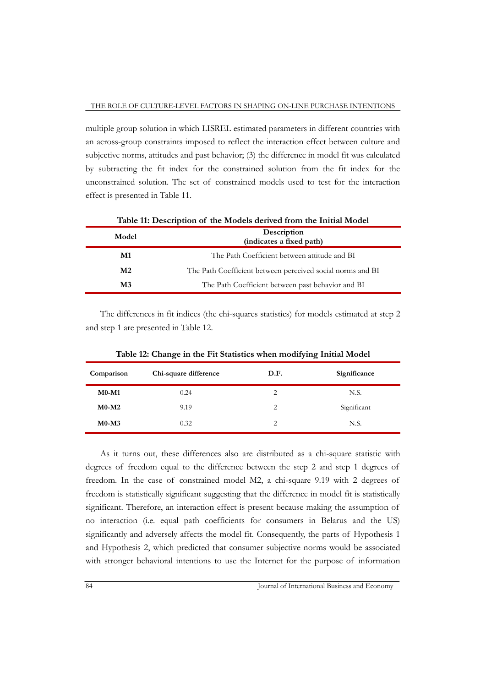multiple group solution in which LISREL estimated parameters in different countries with an across-group constraints imposed to reflect the interaction effect between culture and subjective norms, attitudes and past behavior; (3) the difference in model fit was calculated by subtracting the fit index for the constrained solution from the fit index for the unconstrained solution. The set of constrained models used to test for the interaction effect is presented in Table 11.

|                | Table II: Description of the Models derived from the Initial Model |  |  |
|----------------|--------------------------------------------------------------------|--|--|
| Model          | Description<br>(indicates a fixed path)                            |  |  |
| M1             | The Path Coefficient between attitude and BI                       |  |  |
| M <sub>2</sub> | The Path Coefficient between perceived social norms and BI         |  |  |
| M3             | The Path Coefficient between past behavior and BI                  |  |  |

**Table 11: Description of the Models derived from the Initial Model**

The differences in fit indices (the chi-squares statistics) for models estimated at step 2 and step 1 are presented in Table 12.

| Comparison | Chi-square difference | D.F. | Significance |
|------------|-----------------------|------|--------------|
| $M0-M1$    | 0.24                  | 2    | N.S.         |
| $M0-M2$    | 9.19                  | 2    | Significant  |
| $M0-M3$    | 0.32                  | 2    | N.S.         |

**Table 12: Change in the Fit Statistics when modifying Initial Model**

As it turns out, these differences also are distributed as a chi-square statistic with degrees of freedom equal to the difference between the step 2 and step 1 degrees of freedom. In the case of constrained model M2, a chi-square 9.19 with 2 degrees of freedom is statistically significant suggesting that the difference in model fit is statistically significant. Therefore, an interaction effect is present because making the assumption of no interaction (i.e. equal path coefficients for consumers in Belarus and the US) significantly and adversely affects the model fit. Consequently, the parts of Hypothesis 1 and Hypothesis 2, which predicted that consumer subjective norms would be associated with stronger behavioral intentions to use the Internet for the purpose of information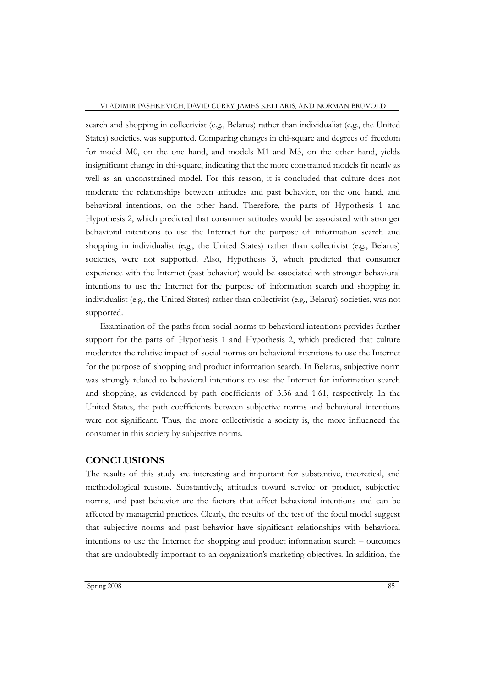search and shopping in collectivist (e.g., Belarus) rather than individualist (e.g., the United States) societies, was supported. Comparing changes in chi-square and degrees of freedom for model M0, on the one hand, and models M1 and M3, on the other hand, yields insignificant change in chi-square, indicating that the more constrained models fit nearly as well as an unconstrained model. For this reason, it is concluded that culture does not moderate the relationships between attitudes and past behavior, on the one hand, and behavioral intentions, on the other hand. Therefore, the parts of Hypothesis 1 and Hypothesis 2, which predicted that consumer attitudes would be associated with stronger behavioral intentions to use the Internet for the purpose of information search and shopping in individualist (e.g., the United States) rather than collectivist (e.g., Belarus) societies, were not supported. Also, Hypothesis 3, which predicted that consumer experience with the Internet (past behavior) would be associated with stronger behavioral intentions to use the Internet for the purpose of information search and shopping in individualist (e.g., the United States) rather than collectivist (e.g., Belarus) societies, was not supported.

Examination of the paths from social norms to behavioral intentions provides further support for the parts of Hypothesis 1 and Hypothesis 2, which predicted that culture moderates the relative impact of social norms on behavioral intentions to use the Internet for the purpose of shopping and product information search. In Belarus, subjective norm was strongly related to behavioral intentions to use the Internet for information search and shopping, as evidenced by path coefficients of 3.36 and 1.61, respectively. In the United States, the path coefficients between subjective norms and behavioral intentions were not significant. Thus, the more collectivistic a society is, the more influenced the consumer in this society by subjective norms.

## **CONCLUSIONS**

The results of this study are interesting and important for substantive, theoretical, and methodological reasons. Substantively, attitudes toward service or product, subjective norms, and past behavior are the factors that affect behavioral intentions and can be affected by managerial practices. Clearly, the results of the test of the focal model suggest that subjective norms and past behavior have significant relationships with behavioral intentions to use the Internet for shopping and product information search – outcomes that are undoubtedly important to an organization"s marketing objectives. In addition, the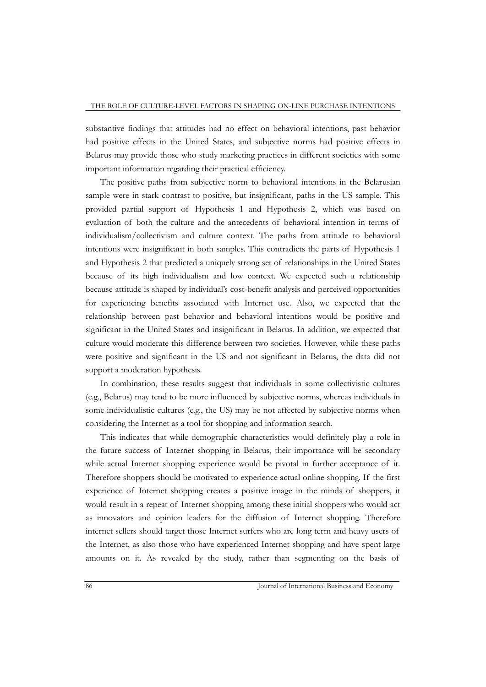substantive findings that attitudes had no effect on behavioral intentions, past behavior had positive effects in the United States, and subjective norms had positive effects in Belarus may provide those who study marketing practices in different societies with some important information regarding their practical efficiency.

The positive paths from subjective norm to behavioral intentions in the Belarusian sample were in stark contrast to positive, but insignificant, paths in the US sample. This provided partial support of Hypothesis 1 and Hypothesis 2, which was based on evaluation of both the culture and the antecedents of behavioral intention in terms of individualism/collectivism and culture context. The paths from attitude to behavioral intentions were insignificant in both samples. This contradicts the parts of Hypothesis 1 and Hypothesis 2 that predicted a uniquely strong set of relationships in the United States because of its high individualism and low context. We expected such a relationship because attitude is shaped by individual's cost-benefit analysis and perceived opportunities for experiencing benefits associated with Internet use. Also, we expected that the relationship between past behavior and behavioral intentions would be positive and significant in the United States and insignificant in Belarus. In addition, we expected that culture would moderate this difference between two societies. However, while these paths were positive and significant in the US and not significant in Belarus, the data did not support a moderation hypothesis.

In combination, these results suggest that individuals in some collectivistic cultures (e.g., Belarus) may tend to be more influenced by subjective norms, whereas individuals in some individualistic cultures (e.g., the US) may be not affected by subjective norms when considering the Internet as a tool for shopping and information search.

This indicates that while demographic characteristics would definitely play a role in the future success of Internet shopping in Belarus, their importance will be secondary while actual Internet shopping experience would be pivotal in further acceptance of it. Therefore shoppers should be motivated to experience actual online shopping. If the first experience of Internet shopping creates a positive image in the minds of shoppers, it would result in a repeat of Internet shopping among these initial shoppers who would act as innovators and opinion leaders for the diffusion of Internet shopping. Therefore internet sellers should target those Internet surfers who are long term and heavy users of the Internet, as also those who have experienced Internet shopping and have spent large amounts on it. As revealed by the study, rather than segmenting on the basis of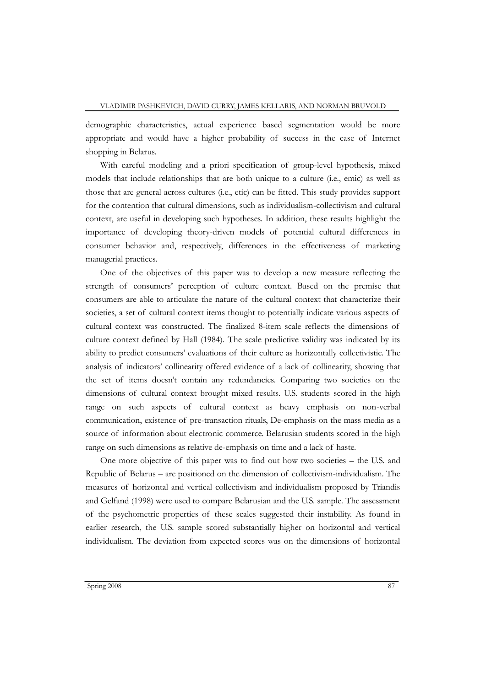demographic characteristics, actual experience based segmentation would be more appropriate and would have a higher probability of success in the case of Internet shopping in Belarus.

With careful modeling and a priori specification of group-level hypothesis, mixed models that include relationships that are both unique to a culture (i.e., emic) as well as those that are general across cultures (i.e., etic) can be fitted. This study provides support for the contention that cultural dimensions, such as individualism-collectivism and cultural context, are useful in developing such hypotheses. In addition, these results highlight the importance of developing theory-driven models of potential cultural differences in consumer behavior and, respectively, differences in the effectiveness of marketing managerial practices.

One of the objectives of this paper was to develop a new measure reflecting the strength of consumers" perception of culture context. Based on the premise that consumers are able to articulate the nature of the cultural context that characterize their societies, a set of cultural context items thought to potentially indicate various aspects of cultural context was constructed. The finalized 8-item scale reflects the dimensions of culture context defined by Hall (1984). The scale predictive validity was indicated by its ability to predict consumers" evaluations of their culture as horizontally collectivistic. The analysis of indicators" collinearity offered evidence of a lack of collinearity, showing that the set of items doesn"t contain any redundancies. Comparing two societies on the dimensions of cultural context brought mixed results. U.S. students scored in the high range on such aspects of cultural context as heavy emphasis on non-verbal communication, existence of pre-transaction rituals, De-emphasis on the mass media as a source of information about electronic commerce. Belarusian students scored in the high range on such dimensions as relative de-emphasis on time and a lack of haste.

One more objective of this paper was to find out how two societies – the U.S. and Republic of Belarus – are positioned on the dimension of collectivism-individualism. The measures of horizontal and vertical collectivism and individualism proposed by Triandis and Gelfand (1998) were used to compare Belarusian and the U.S. sample. The assessment of the psychometric properties of these scales suggested their instability. As found in earlier research, the U.S. sample scored substantially higher on horizontal and vertical individualism. The deviation from expected scores was on the dimensions of horizontal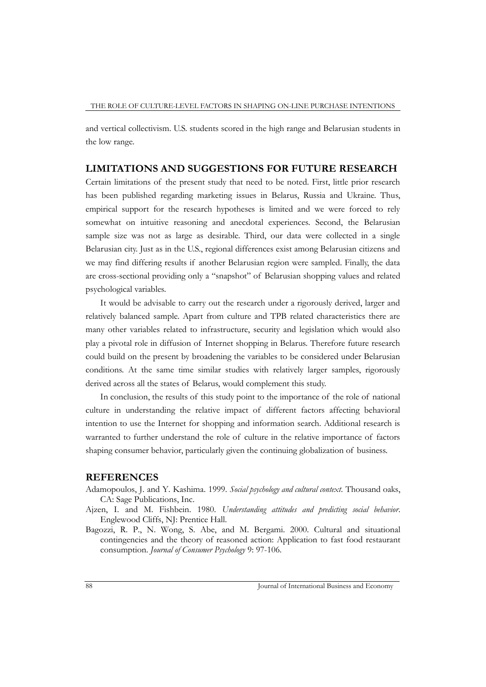and vertical collectivism. U.S. students scored in the high range and Belarusian students in the low range.

## **LIMITATIONS AND SUGGESTIONS FOR FUTURE RESEARCH**

Certain limitations of the present study that need to be noted. First, little prior research has been published regarding marketing issues in Belarus, Russia and Ukraine. Thus, empirical support for the research hypotheses is limited and we were forced to rely somewhat on intuitive reasoning and anecdotal experiences. Second, the Belarusian sample size was not as large as desirable. Third, our data were collected in a single Belarusian city. Just as in the U.S., regional differences exist among Belarusian citizens and we may find differing results if another Belarusian region were sampled. Finally, the data are cross-sectional providing only a "snapshot" of Belarusian shopping values and related psychological variables.

It would be advisable to carry out the research under a rigorously derived, larger and relatively balanced sample. Apart from culture and TPB related characteristics there are many other variables related to infrastructure, security and legislation which would also play a pivotal role in diffusion of Internet shopping in Belarus. Therefore future research could build on the present by broadening the variables to be considered under Belarusian conditions. At the same time similar studies with relatively larger samples, rigorously derived across all the states of Belarus, would complement this study.

In conclusion, the results of this study point to the importance of the role of national culture in understanding the relative impact of different factors affecting behavioral intention to use the Internet for shopping and information search. Additional research is warranted to further understand the role of culture in the relative importance of factors shaping consumer behavior, particularly given the continuing globalization of business.

#### **REFERENCES**

- Adamopoulos, J. and Y. Kashima. 1999. *Social psychology and cultural context*. Thousand oaks, CA: Sage Publications, Inc.
- Ajzen, I. and M. Fishbein. 1980. *Understanding attitudes and predicting social behavior*. Englewood Cliffs, NJ: Prentice Hall.
- [Bagozzi, R. P., N. Wong, S. Abe, and M. Bergami.](javascript:popup() 2000. Cultural and situational [contingencies and the theory of reasoned action: Application to fast food restaurant](javascript:popup()  consumption. *[Journal of Consumer Psychology](javascript:popup()* 9: 97-106.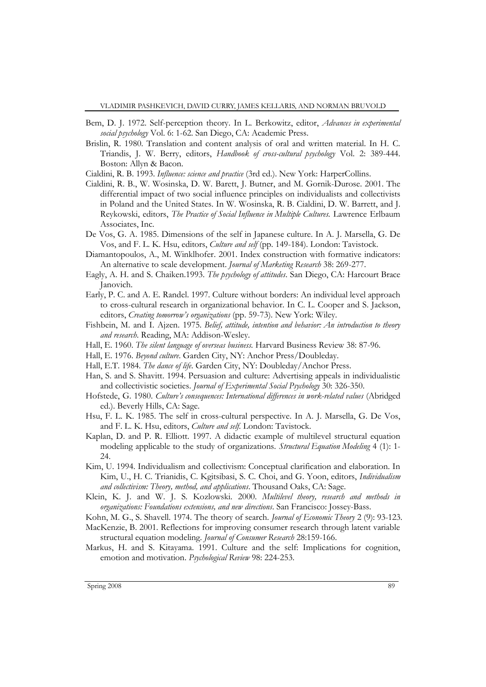- Bem, D. J. 1972. Self-perception theory. In L. Berkowitz, editor, *Advances in experimental social psychology* Vol. 6: 1-62. San Diego, CA: Academic Press.
- Brislin, R. 1980. Translation and content analysis of oral and written material. In H. C. Triandis, J. W. Berry, editors, *Handbook of cross-cultural psychology* Vol. 2: 389-444. Boston: Allyn & Bacon.

Cialdini, R. B. 1993. *Influence: science and practice* (3rd ed.). New York: HarperCollins.

- Cialdini, R. B., W. Wosinska, D. W. Barett, J. Butner, and M. Gornik-Durose. 2001. The differential impact of two social influence principles on individualists and collectivists in Poland and the United States. In W. Wosinska, R. B. Cialdini, D. W. Barrett, and J. Reykowski, editors, *The Practice of Social Influence in Multiple Cultures.* Lawrence Erlbaum Associates, Inc.
- De Vos, G. A. 1985. Dimensions of the self in Japanese culture. In A. J. Marsella, G. De Vos, and F. L. K. Hsu, editors, *Culture and self* (pp. 149-184). London: Tavistock.
- Diamantopoulos, A., M. Winklhofer. 2001. Index construction with formative indicators: An alternative to scale development. *Journal of Marketing Research* 38: 269-277.
- Eagly, A. H. and S. Chaiken.1993. *The psychology of attitudes*. San Diego, CA: Harcourt Brace Janovich.
- Early, P. C. and A. E. Randel. 1997. Culture without borders: An individual level approach to cross-cultural research in organizational behavior. In C. L. Cooper and S. Jackson, editors, *Creating tomorrow's organizations* (pp. 59-73). New York: Wiley.
- Fishbein, M. and I. Ajzen. 1975*. Belief, attitude, intention and behavior: An introduction to theory and research*. Reading, MA: Addison-Wesley.
- Hall, E. 1960. *The silent language of overseas business.* Harvard Business Review 38: 87-96.
- Hall, E. 1976. *Beyond culture*. Garden City, NY: Anchor Press/Doubleday.
- Hall, E.T. 1984. *The dance of life*. Garden City, NY: Doubleday/Anchor Press.
- Han, S. and S. Shavitt. 1994. Persuasion and culture: Advertising appeals in individualistic and collectivistic societies. *Journal of Experimental Social Psychology* 30: 326-350.
- Hofstede, G. 1980. *Culture's consequences: International differences in work-related values* (Abridged ed.). Beverly Hills, CA: Sage.
- Hsu, F. L. K. 1985. The self in cross-cultural perspective. In A. J. Marsella, G. De Vos, and F. L. K. Hsu, editors, *Culture and self.* London: Tavistock.
- Kaplan, D. and P. R. Elliott. 1997. A didactic example of multilevel structural equation modeling applicable to the study of organizations. *Structural Equation Modeling* 4 (1): 1- 24.
- Kim, U. 1994. Individualism and collectivism: Conceptual clarification and elaboration. In Kim, U., H. C. Trianidis, C. Kgitsibasi, S. C. Choi, and G. Yoon, editors, *Individualism and collectivism: Theory, method, and applications*. Thousand Oaks, CA: Sage.
- Klein, K. J. and W. J. S. Kozlowski. 2000. *Multilevel theory, research and methods in organizations: Foundations extensions, and new directions*. San Francisco: Jossey-Bass.
- Kohn, M. G., S. Shavell. 1974. The theory of search. *Journal of Economic Theory* 2 (9): 93-123.
- MacKenzie, B. 2001. Reflections for improving consumer research through latent variable structural equation modeling. *Journal of Consumer Research* 28:159-166.
- Markus, H. and S. Kitayama. 1991. Culture and the self: Implications for cognition, emotion and motivation. *Psychological Review* 98: 224-253.